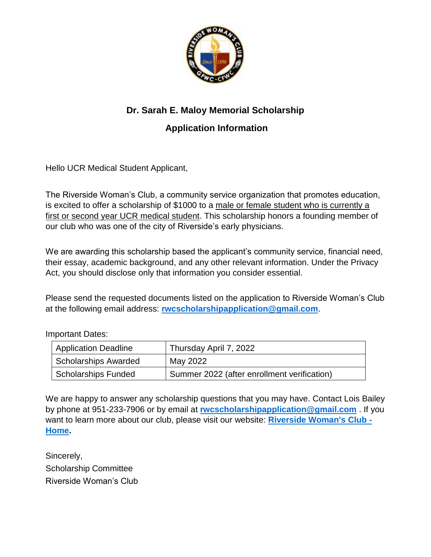

## **Dr. Sarah E. Maloy Memorial Scholarship**

### **Application Information**

Hello UCR Medical Student Applicant,

The Riverside Woman's Club, a community service organization that promotes education, is excited to offer a scholarship of \$1000 to a male or female student who is currently a first or second year UCR medical student. This scholarship honors a founding member of our club who was one of the city of Riverside's early physicians.

We are awarding this scholarship based the applicant's community service, financial need, their essay, academic background, and any other relevant information. Under the Privacy Act, you should disclose only that information you consider essential.

Please send the requested documents listed on the application to Riverside Woman's Club at the following email address: **[rwcscholarshipapplication@gmail.com](mailto:rwcscholarshipapplication@gmail.com)**.

Important Dates:

| <b>Application Deadline</b> | Thursday April 7, 2022                      |
|-----------------------------|---------------------------------------------|
| <b>Scholarships Awarded</b> | May 2022                                    |
| <b>Scholarships Funded</b>  | Summer 2022 (after enrollment verification) |

We are happy to answer any scholarship questions that you may have. Contact Lois Bailey by phone at 951-233-7906 or by email at **[rwcscholarshipapplication@gmail.com](mailto:rwcscholarshipapplication@gmail.com)** . If you want to learn more about our club, please visit our website: **[Riverside Woman's Club -](https://www.riversidewomansclub.com/) [Home.](https://www.riversidewomansclub.com/)**

Sincerely, Scholarship Committee Riverside Woman's Club